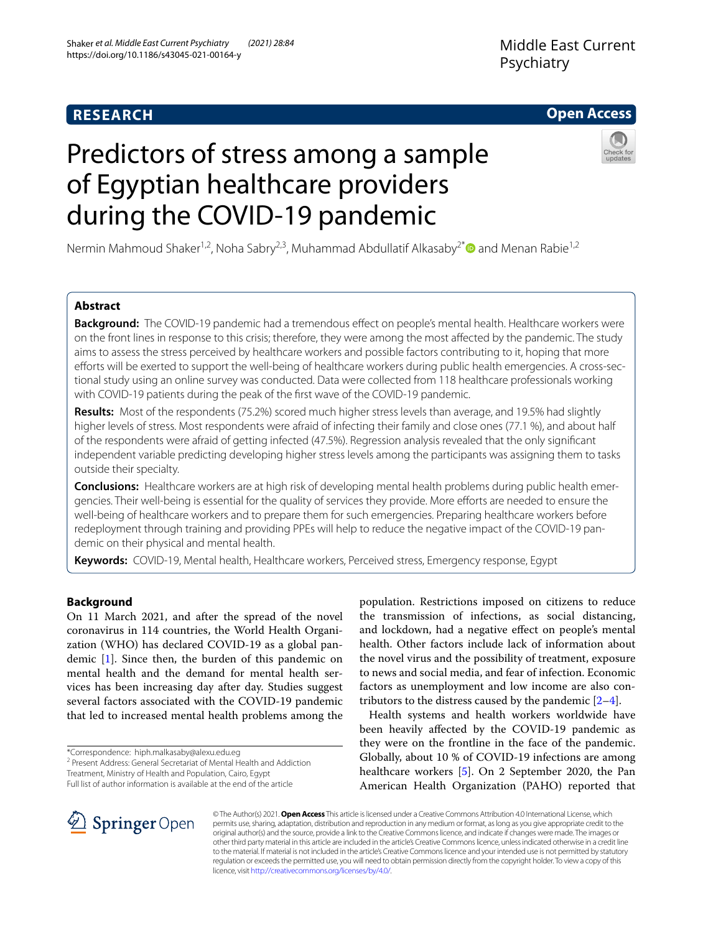## **RESEARCH**

## **Open Access**

# Predictors of stress among a sample of Egyptian healthcare providers during the COVID-19 pandemic



Nermin Mahmoud Shaker<sup>1,2</sup>, Noha Sabry<sup>2,3</sup>, Muhammad Abdullatif Alkasaby<sup>2[\\*](http://orcid.org/0000-0001-9723-7706)</sup> and Menan Rabie<sup>1,2</sup>

## **Abstract**

**Background:** The COVID-19 pandemic had a tremendous effect on people's mental health. Healthcare workers were on the front lines in response to this crisis; therefore, they were among the most afected by the pandemic. The study aims to assess the stress perceived by healthcare workers and possible factors contributing to it, hoping that more efforts will be exerted to support the well-being of healthcare workers during public health emergencies. A cross-sectional study using an online survey was conducted. Data were collected from 118 healthcare professionals working with COVID-19 patients during the peak of the frst wave of the COVID-19 pandemic.

**Results:** Most of the respondents (75.2%) scored much higher stress levels than average, and 19.5% had slightly higher levels of stress. Most respondents were afraid of infecting their family and close ones (77.1 %), and about half of the respondents were afraid of getting infected (47.5%). Regression analysis revealed that the only signifcant independent variable predicting developing higher stress levels among the participants was assigning them to tasks outside their specialty.

**Conclusions:** Healthcare workers are at high risk of developing mental health problems during public health emergencies. Their well-being is essential for the quality of services they provide. More efforts are needed to ensure the well-being of healthcare workers and to prepare them for such emergencies. Preparing healthcare workers before redeployment through training and providing PPEs will help to reduce the negative impact of the COVID-19 pandemic on their physical and mental health.

**Keywords:** COVID-19, Mental health, Healthcare workers, Perceived stress, Emergency response, Egypt

## **Background**

On 11 March 2021, and after the spread of the novel coronavirus in 114 countries, the World Health Organization (WHO) has declared COVID-19 as a global pandemic [[1\]](#page-5-0). Since then, the burden of this pandemic on mental health and the demand for mental health services has been increasing day after day. Studies suggest several factors associated with the COVID-19 pandemic that led to increased mental health problems among the

\*Correspondence: hiph.malkasaby@alexu.edu.eg

<sup>2</sup> Present Address: General Secretariat of Mental Health and Addiction

Treatment, Ministry of Health and Population, Cairo, Egypt Full list of author information is available at the end of the article

population. Restrictions imposed on citizens to reduce the transmission of infections, as social distancing, and lockdown, had a negative efect on people's mental health. Other factors include lack of information about the novel virus and the possibility of treatment, exposure to news and social media, and fear of infection. Economic factors as unemployment and low income are also contributors to the distress caused by the pandemic  $[2-4]$  $[2-4]$  $[2-4]$ .

Health systems and health workers worldwide have been heavily afected by the COVID-19 pandemic as they were on the frontline in the face of the pandemic. Globally, about 10 % of COVID-19 infections are among healthcare workers [\[5](#page-5-3)]. On 2 September 2020, the Pan American Health Organization (PAHO) reported that



© The Author(s) 2021. **Open Access** This article is licensed under a Creative Commons Attribution 4.0 International License, which permits use, sharing, adaptation, distribution and reproduction in any medium or format, as long as you give appropriate credit to the original author(s) and the source, provide a link to the Creative Commons licence, and indicate if changes were made. The images or other third party material in this article are included in the article's Creative Commons licence, unless indicated otherwise in a credit line to the material. If material is not included in the article's Creative Commons licence and your intended use is not permitted by statutory regulation or exceeds the permitted use, you will need to obtain permission directly from the copyright holder. To view a copy of this licence, visit [http://creativecommons.org/licenses/by/4.0/.](http://creativecommons.org/licenses/by/4.0/)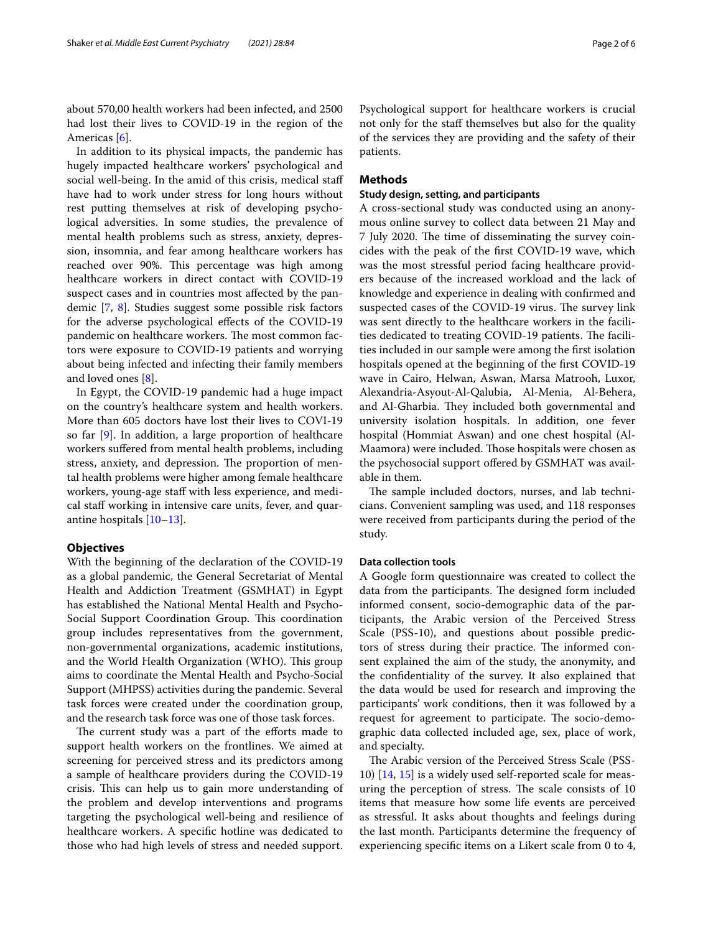about 570,00 health workers had been infected, and 2500 had lost their lives to COVID-19 in the region of the Americas [\[6](#page-5-4)].

In addition to its physical impacts, the pandemic has hugely impacted healthcare workers' psychological and social well-being. In the amid of this crisis, medical staf have had to work under stress for long hours without rest putting themselves at risk of developing psychological adversities. In some studies, the prevalence of mental health problems such as stress, anxiety, depression, insomnia, and fear among healthcare workers has reached over 90%. This percentage was high among healthcare workers in direct contact with COVID-19 suspect cases and in countries most afected by the pandemic [[7,](#page-5-5) [8\]](#page-5-6). Studies suggest some possible risk factors for the adverse psychological efects of the COVID-19 pandemic on healthcare workers. The most common factors were exposure to COVID-19 patients and worrying about being infected and infecting their family members and loved ones [\[8\]](#page-5-6).

In Egypt, the COVID-19 pandemic had a huge impact on the country's healthcare system and health workers. More than 605 doctors have lost their lives to COVI-19 so far [[9\]](#page-5-7). In addition, a large proportion of healthcare workers sufered from mental health problems, including stress, anxiety, and depression. The proportion of mental health problems were higher among female healthcare workers, young-age staff with less experience, and medical staff working in intensive care units, fever, and quarantine hospitals [[10](#page-5-8)[–13](#page-5-9)].

#### **Objectives**

With the beginning of the declaration of the COVID-19 as a global pandemic, the General Secretariat of Mental Health and Addiction Treatment (GSMHAT) in Egypt has established the National Mental Health and Psycho-Social Support Coordination Group. This coordination group includes representatives from the government, non-governmental organizations, academic institutions, and the World Health Organization (WHO). This group aims to coordinate the Mental Health and Psycho-Social Support (MHPSS) activities during the pandemic. Several task forces were created under the coordination group, and the research task force was one of those task forces.

The current study was a part of the efforts made to support health workers on the frontlines. We aimed at screening for perceived stress and its predictors among a sample of healthcare providers during the COVID-19 crisis. This can help us to gain more understanding of the problem and develop interventions and programs targeting the psychological well-being and resilience of healthcare workers. A specifc hotline was dedicated to those who had high levels of stress and needed support. Psychological support for healthcare workers is crucial not only for the staff themselves but also for the quality of the services they are providing and the safety of their patients.

## **Methods**

## **Study design, setting, and participants**

A cross-sectional study was conducted using an anonymous online survey to collect data between 21 May and 7 July 2020. The time of disseminating the survey coincides with the peak of the frst COVID-19 wave, which was the most stressful period facing healthcare providers because of the increased workload and the lack of knowledge and experience in dealing with confrmed and suspected cases of the COVID-19 virus. The survey link was sent directly to the healthcare workers in the facilities dedicated to treating COVID-19 patients. The facilities included in our sample were among the frst isolation hospitals opened at the beginning of the frst COVID-19 wave in Cairo, Helwan, Aswan, Marsa Matrooh, Luxor, Alexandria-Asyout-Al-Qalubia, Al-Menia, Al-Behera, and Al-Gharbia. They included both governmental and university isolation hospitals. In addition, one fever hospital (Hommiat Aswan) and one chest hospital (Al-Maamora) were included. Those hospitals were chosen as the psychosocial support ofered by GSMHAT was available in them.

The sample included doctors, nurses, and lab technicians. Convenient sampling was used, and 118 responses were received from participants during the period of the study.

#### **Data collection tools**

A Google form questionnaire was created to collect the data from the participants. The designed form included informed consent, socio-demographic data of the participants, the Arabic version of the Perceived Stress Scale (PSS-10), and questions about possible predictors of stress during their practice. The informed consent explained the aim of the study, the anonymity, and the confdentiality of the survey. It also explained that the data would be used for research and improving the participants' work conditions, then it was followed by a request for agreement to participate. The socio-demographic data collected included age, sex, place of work, and specialty.

The Arabic version of the Perceived Stress Scale (PSS-10) [[14](#page-5-10), [15](#page-5-11)] is a widely used self-reported scale for measuring the perception of stress. The scale consists of 10 items that measure how some life events are perceived as stressful. It asks about thoughts and feelings during the last month. Participants determine the frequency of experiencing specifc items on a Likert scale from 0 to 4,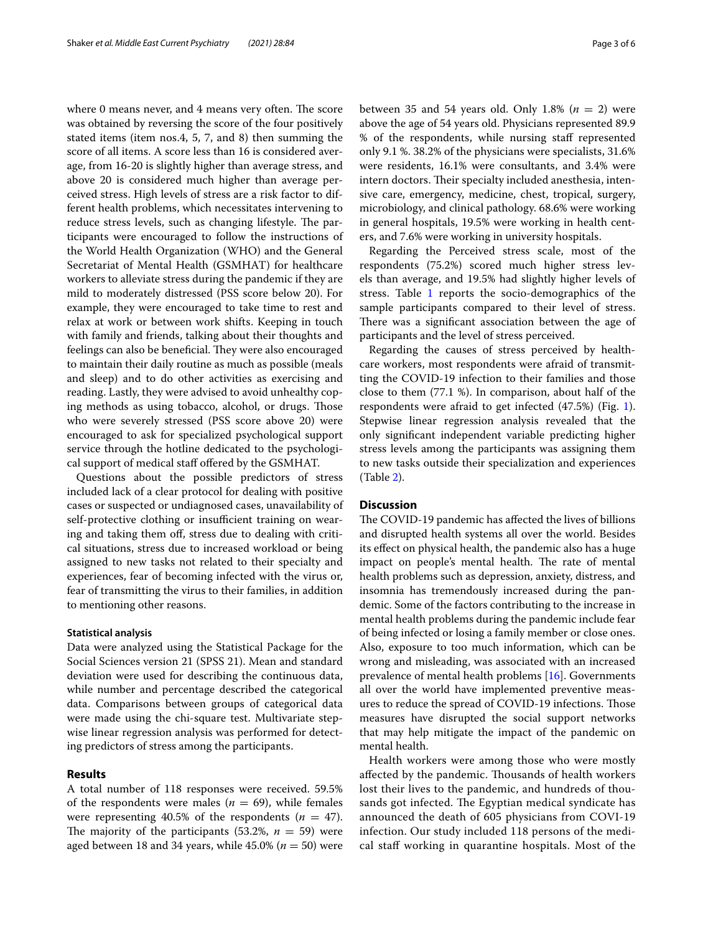where 0 means never, and 4 means very often. The score was obtained by reversing the score of the four positively stated items (item nos.4, 5, 7, and 8) then summing the score of all items. A score less than 16 is considered average, from 16-20 is slightly higher than average stress, and above 20 is considered much higher than average perceived stress. High levels of stress are a risk factor to different health problems, which necessitates intervening to reduce stress levels, such as changing lifestyle. The participants were encouraged to follow the instructions of the World Health Organization (WHO) and the General Secretariat of Mental Health (GSMHAT) for healthcare workers to alleviate stress during the pandemic if they are mild to moderately distressed (PSS score below 20). For example, they were encouraged to take time to rest and relax at work or between work shifts. Keeping in touch with family and friends, talking about their thoughts and feelings can also be beneficial. They were also encouraged to maintain their daily routine as much as possible (meals and sleep) and to do other activities as exercising and reading. Lastly, they were advised to avoid unhealthy coping methods as using tobacco, alcohol, or drugs. Those who were severely stressed (PSS score above 20) were encouraged to ask for specialized psychological support service through the hotline dedicated to the psychological support of medical staf ofered by the GSMHAT.

Questions about the possible predictors of stress included lack of a clear protocol for dealing with positive cases or suspected or undiagnosed cases, unavailability of self-protective clothing or insufficient training on wearing and taking them off, stress due to dealing with critical situations, stress due to increased workload or being assigned to new tasks not related to their specialty and experiences, fear of becoming infected with the virus or, fear of transmitting the virus to their families, in addition to mentioning other reasons.

#### **Statistical analysis**

Data were analyzed using the Statistical Package for the Social Sciences version 21 (SPSS 21). Mean and standard deviation were used for describing the continuous data, while number and percentage described the categorical data. Comparisons between groups of categorical data were made using the chi-square test. Multivariate stepwise linear regression analysis was performed for detecting predictors of stress among the participants.

#### **Results**

A total number of 118 responses were received. 59.5% of the respondents were males ( $n = 69$ ), while females were representing 40.5% of the respondents  $(n = 47)$ . The majority of the participants  $(53.2\%, n = 59)$  were aged between 18 and 34 years, while  $45.0\%$  ( $n = 50$ ) were between 35 and 54 years old. Only 1.8%  $(n = 2)$  were above the age of 54 years old. Physicians represented 89.9 % of the respondents, while nursing staff represented only 9.1 %. 38.2% of the physicians were specialists, 31.6% were residents, 16.1% were consultants, and 3.4% were intern doctors. Their specialty included anesthesia, intensive care, emergency, medicine, chest, tropical, surgery, microbiology, and clinical pathology. 68.6% were working in general hospitals, 19.5% were working in health centers, and 7.6% were working in university hospitals.

Regarding the Perceived stress scale, most of the respondents (75.2%) scored much higher stress levels than average, and 19.5% had slightly higher levels of stress. Table [1](#page-3-0) reports the socio-demographics of the sample participants compared to their level of stress. There was a significant association between the age of participants and the level of stress perceived.

Regarding the causes of stress perceived by healthcare workers, most respondents were afraid of transmitting the COVID-19 infection to their families and those close to them (77.1 %). In comparison, about half of the respondents were afraid to get infected (47.5%) (Fig. [1](#page-3-1)). Stepwise linear regression analysis revealed that the only signifcant independent variable predicting higher stress levels among the participants was assigning them to new tasks outside their specialization and experiences (Table [2\)](#page-4-0).

#### **Discussion**

The COVID-19 pandemic has affected the lives of billions and disrupted health systems all over the world. Besides its efect on physical health, the pandemic also has a huge impact on people's mental health. The rate of mental health problems such as depression, anxiety, distress, and insomnia has tremendously increased during the pandemic. Some of the factors contributing to the increase in mental health problems during the pandemic include fear of being infected or losing a family member or close ones. Also, exposure to too much information, which can be wrong and misleading, was associated with an increased prevalence of mental health problems [[16\]](#page-5-12). Governments all over the world have implemented preventive measures to reduce the spread of COVID-19 infections. Those measures have disrupted the social support networks that may help mitigate the impact of the pandemic on mental health.

Health workers were among those who were mostly affected by the pandemic. Thousands of health workers lost their lives to the pandemic, and hundreds of thousands got infected. The Egyptian medical syndicate has announced the death of 605 physicians from COVI-19 infection. Our study included 118 persons of the medical staf working in quarantine hospitals. Most of the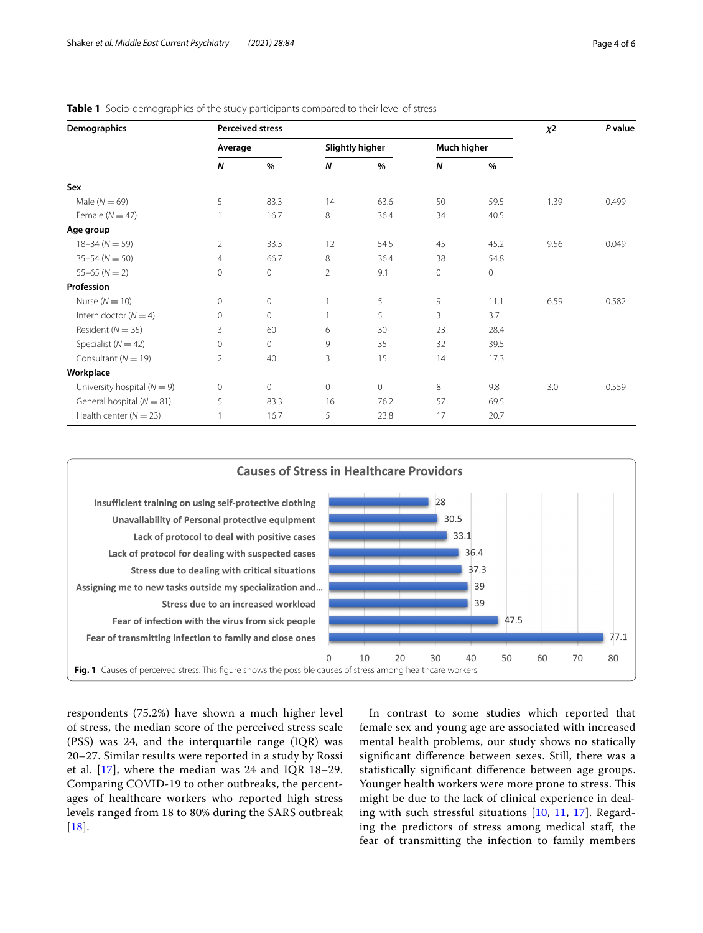| Demographics                    | <b>Perceived stress</b> |         |                        |              |             |             | $x^2$ | P value |
|---------------------------------|-------------------------|---------|------------------------|--------------|-------------|-------------|-------|---------|
|                                 | Average                 |         | <b>Slightly higher</b> |              | Much higher |             |       |         |
|                                 | N                       | $\%$    | $\boldsymbol{N}$       | %            | N           | $\%$        |       |         |
| Sex                             |                         |         |                        |              |             |             |       |         |
| Male $(N = 69)$                 | 5                       | 83.3    | 14                     | 63.6         | 50          | 59.5        | 1.39  | 0.499   |
| Female ( $N = 47$ )             |                         | 16.7    | 8                      | 36.4         | 34          | 40.5        |       |         |
| Age group                       |                         |         |                        |              |             |             |       |         |
| $18 - 34 (N = 59)$              | $\overline{2}$          | 33.3    | 12                     | 54.5         | 45          | 45.2        | 9.56  | 0.049   |
| $35 - 54 (N = 50)$              | 4                       | 66.7    | 8                      | 36.4         | 38          | 54.8        |       |         |
| $55 - 65$ ( $N = 2$ )           | 0                       | 0       | $\overline{2}$         | 9.1          | $\circ$     | $\mathbf 0$ |       |         |
| Profession                      |                         |         |                        |              |             |             |       |         |
| Nurse $(N = 10)$                | $\mathbf 0$             | $\circ$ |                        | 5            | 9           | 11.1        | 6.59  | 0.582   |
| Intern doctor ( $N = 4$ )       | $\mathbf{0}$            | 0       |                        | 5            | 3           | 3.7         |       |         |
| Resident ( $N = 35$ )           | 3                       | 60      | 6                      | 30           | 23          | 28.4        |       |         |
| Specialist ( $N = 42$ )         | $\circ$                 | $\circ$ | 9                      | 35           | 32          | 39.5        |       |         |
| Consultant ( $N = 19$ )         | $\overline{2}$          | 40      | 3                      | 15           | 14          | 17.3        |       |         |
| Workplace                       |                         |         |                        |              |             |             |       |         |
| University hospital ( $N = 9$ ) | 0                       | $\circ$ | $\mathbf 0$            | $\mathbf{0}$ | 8           | 9.8         | 3.0   | 0.559   |
| General hospital ( $N = 81$ )   | 5                       | 83.3    | 16                     | 76.2         | 57          | 69.5        |       |         |
| Health center ( $N = 23$ )      | 1                       | 16.7    | 5                      | 23.8         | 17          | 20.7        |       |         |

<span id="page-3-0"></span>**Table 1** Socio-demographics of the study participants compared to their level of stress



<span id="page-3-1"></span>respondents (75.2%) have shown a much higher level of stress, the median score of the perceived stress scale (PSS) was 24, and the interquartile range (IQR) was 20–27. Similar results were reported in a study by Rossi et al. [\[17\]](#page-5-13), where the median was 24 and IQR 18–29. Comparing COVID-19 to other outbreaks, the percentages of healthcare workers who reported high stress levels ranged from 18 to 80% during the SARS outbreak  $[18]$  $[18]$  $[18]$ .

In contrast to some studies which reported that female sex and young age are associated with increased mental health problems, our study shows no statically signifcant diference between sexes. Still, there was a statistically signifcant diference between age groups. Younger health workers were more prone to stress. This might be due to the lack of clinical experience in dealing with such stressful situations [[10,](#page-5-8) [11,](#page-5-15) [17](#page-5-13)]. Regarding the predictors of stress among medical staf, the fear of transmitting the infection to family members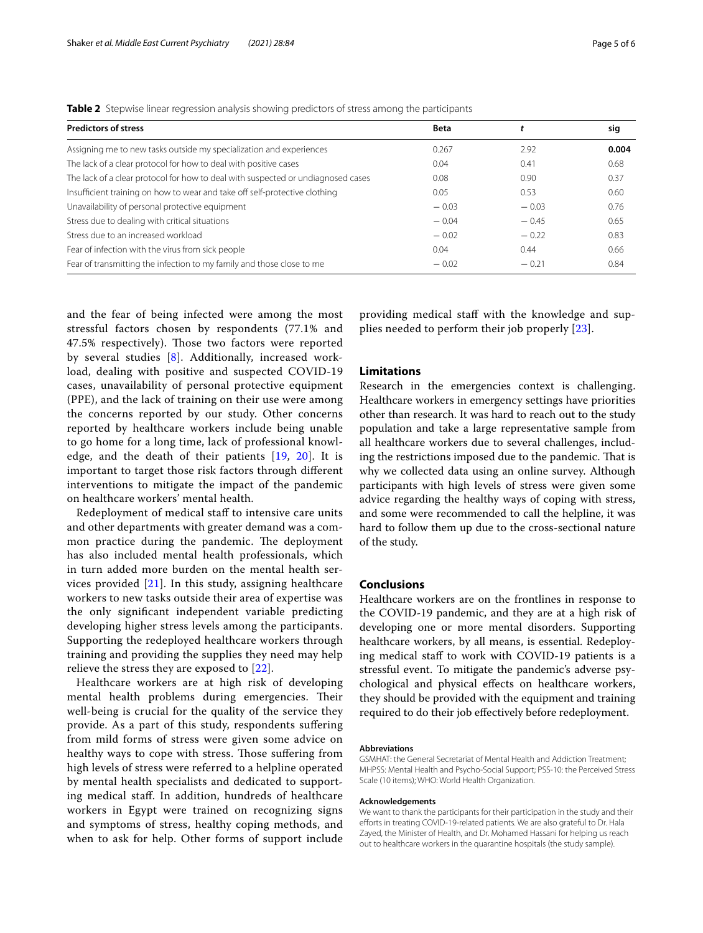<span id="page-4-0"></span>

|  |  |  |  |  | Table 2 Stepwise linear regression analysis showing predictors of stress among the participants |  |  |
|--|--|--|--|--|-------------------------------------------------------------------------------------------------|--|--|
|--|--|--|--|--|-------------------------------------------------------------------------------------------------|--|--|

| <b>Predictors of stress</b>                                                      | <b>Beta</b> |         | sig   |
|----------------------------------------------------------------------------------|-------------|---------|-------|
| Assigning me to new tasks outside my specialization and experiences              | 0.267       | 2.92    | 0.004 |
| The lack of a clear protocol for how to deal with positive cases                 | 0.04        | 0.41    | 0.68  |
| The lack of a clear protocol for how to deal with suspected or undiagnosed cases | 0.08        | 0.90    | 0.37  |
| Insufficient training on how to wear and take off self-protective clothing       | 0.05        | 0.53    | 0.60  |
| Unavailability of personal protective equipment                                  | $-0.03$     | $-0.03$ | 0.76  |
| Stress due to dealing with critical situations                                   | $-0.04$     | $-0.45$ | 0.65  |
| Stress due to an increased workload                                              | $-0.02$     | $-0.22$ | 0.83  |
| Fear of infection with the virus from sick people                                | 0.04        | 0.44    | 0.66  |
| Fear of transmitting the infection to my family and those close to me            | $-0.02$     | $-0.21$ | 0.84  |

and the fear of being infected were among the most stressful factors chosen by respondents (77.1% and 47.5% respectively). Those two factors were reported by several studies [[8\]](#page-5-6). Additionally, increased workload, dealing with positive and suspected COVID-19 cases, unavailability of personal protective equipment (PPE), and the lack of training on their use were among the concerns reported by our study. Other concerns reported by healthcare workers include being unable to go home for a long time, lack of professional knowledge, and the death of their patients [\[19](#page-5-16), [20](#page-5-17)]. It is important to target those risk factors through diferent interventions to mitigate the impact of the pandemic on healthcare workers' mental health.

Redeployment of medical staff to intensive care units and other departments with greater demand was a common practice during the pandemic. The deployment has also included mental health professionals, which in turn added more burden on the mental health services provided  $[21]$  $[21]$ . In this study, assigning healthcare workers to new tasks outside their area of expertise was the only signifcant independent variable predicting developing higher stress levels among the participants. Supporting the redeployed healthcare workers through training and providing the supplies they need may help relieve the stress they are exposed to [\[22\]](#page-5-19).

Healthcare workers are at high risk of developing mental health problems during emergencies. Their well-being is crucial for the quality of the service they provide. As a part of this study, respondents suffering from mild forms of stress were given some advice on healthy ways to cope with stress. Those suffering from high levels of stress were referred to a helpline operated by mental health specialists and dedicated to supporting medical staf. In addition, hundreds of healthcare workers in Egypt were trained on recognizing signs and symptoms of stress, healthy coping methods, and when to ask for help. Other forms of support include

providing medical staff with the knowledge and supplies needed to perform their job properly [[23\]](#page-5-20).

## **Limitations**

Research in the emergencies context is challenging. Healthcare workers in emergency settings have priorities other than research. It was hard to reach out to the study population and take a large representative sample from all healthcare workers due to several challenges, including the restrictions imposed due to the pandemic. That is why we collected data using an online survey. Although participants with high levels of stress were given some advice regarding the healthy ways of coping with stress, and some were recommended to call the helpline, it was hard to follow them up due to the cross-sectional nature of the study.

## **Conclusions**

Healthcare workers are on the frontlines in response to the COVID-19 pandemic, and they are at a high risk of developing one or more mental disorders. Supporting healthcare workers, by all means, is essential. Redeploying medical staff to work with COVID-19 patients is a stressful event. To mitigate the pandemic's adverse psychological and physical efects on healthcare workers, they should be provided with the equipment and training required to do their job efectively before redeployment.

#### **Abbreviations**

GSMHAT: the General Secretariat of Mental Health and Addiction Treatment; MHPSS: Mental Health and Psycho-Social Support; PSS-10: the Perceived Stress Scale (10 items); WHO: World Health Organization.

#### **Acknowledgements**

We want to thank the participants for their participation in the study and their efforts in treating COVID-19-related patients. We are also grateful to Dr. Hala Zayed, the Minister of Health, and Dr. Mohamed Hassani for helping us reach out to healthcare workers in the quarantine hospitals (the study sample).